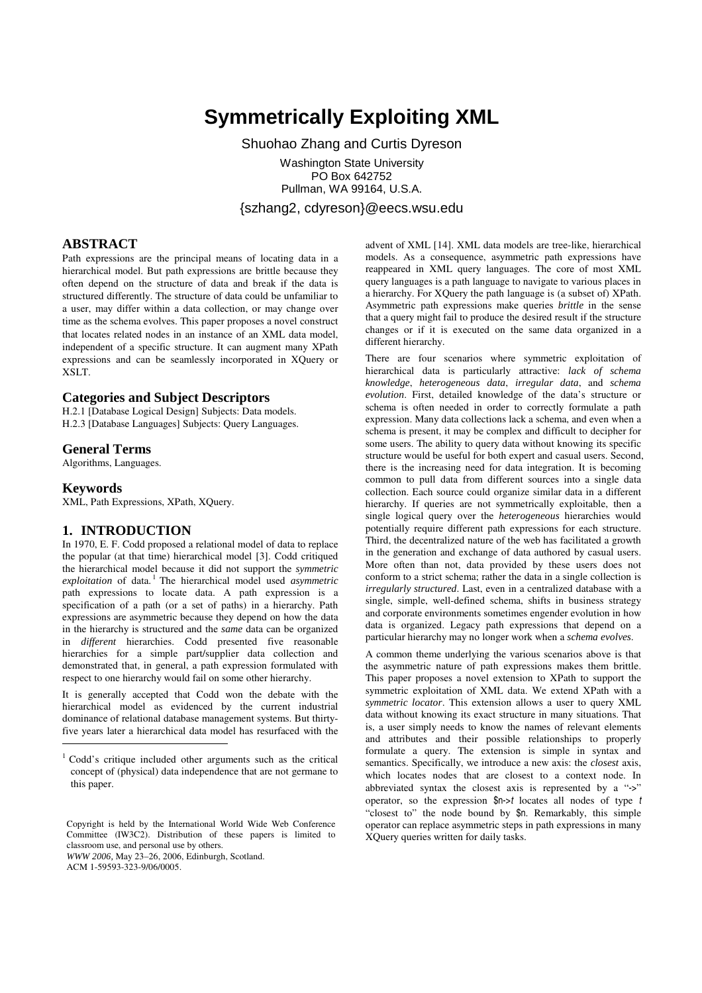# **Symmetrically Exploiting XML**

Shuohao Zhang and Curtis Dyreson

Washington State University PO Box 642752 Pullman, WA 99164, U.S.A.

# {szhang2, cdyreson}@eecs.wsu.edu

# **ABSTRACT**

Path expressions are the principal means of locating data in a hierarchical model. But path expressions are brittle because they often depend on the structure of data and break if the data is structured differently. The structure of data could be unfamiliar to a user, may differ within a data collection, or may change over time as the schema evolves. This paper proposes a novel construct that locates related nodes in an instance of an XML data model, independent of a specific structure. It can augment many XPath expressions and can be seamlessly incorporated in XQuery or XSLT.

# **Categories and Subject Descriptors**

H.2.1 [Database Logical Design] Subjects: Data models. H.2.3 [Database Languages] Subjects: Query Languages.

# **General Terms**

Algorithms, Languages.

# **Keywords**

XML, Path Expressions, XPath, XQuery.

# **1. INTRODUCTION**

In 1970, E. F. Codd proposed a relational model of data to replace the popular (at that time) hierarchical model [3]. Codd critiqued the hierarchical model because it did not support the *symmetric exploitation* of data. <sup>1</sup> The hierarchical model used *asymmetric* path expressions to locate data. A path expression is a specification of a path (or a set of paths) in a hierarchy. Path expressions are asymmetric because they depend on how the data in the hierarchy is structured and the *same* data can be organized in *different* hierarchies. Codd presented five reasonable hierarchies for a simple part/supplier data collection and demonstrated that, in general, a path expression formulated with respect to one hierarchy would fail on some other hierarchy.

It is generally accepted that Codd won the debate with the hierarchical model as evidenced by the current industrial dominance of relational database management systems. But thirtyfive years later a hierarchical data model has resurfaced with the

*WWW 2006,* May 23–26, 2006, Edinburgh, Scotland.

ACM 1-59593-323-9/06/0005.

advent of XML [14]. XML data models are tree-like, hierarchical models. As a consequence, asymmetric path expressions have reappeared in XML query languages. The core of most XML query languages is a path language to navigate to various places in a hierarchy. For XQuery the path language is (a subset of) XPath. Asymmetric path expressions make queries *brittle* in the sense that a query might fail to produce the desired result if the structure changes or if it is executed on the same data organized in a different hierarchy.

There are four scenarios where symmetric exploitation of hierarchical data is particularly attractive: *lack of schema knowledge*, *heterogeneous data*, *irregular data*, and *schema evolution*. First, detailed knowledge of the data's structure or schema is often needed in order to correctly formulate a path expression. Many data collections lack a schema, and even when a schema is present, it may be complex and difficult to decipher for some users. The ability to query data without knowing its specific structure would be useful for both expert and casual users. Second, there is the increasing need for data integration. It is becoming common to pull data from different sources into a single data collection. Each source could organize similar data in a different hierarchy. If queries are not symmetrically exploitable, then a single logical query over the *heterogeneous* hierarchies would potentially require different path expressions for each structure. Third, the decentralized nature of the web has facilitated a growth in the generation and exchange of data authored by casual users. More often than not, data provided by these users does not conform to a strict schema; rather the data in a single collection is *irregularly structured*. Last, even in a centralized database with a single, simple, well-defined schema, shifts in business strategy and corporate environments sometimes engender evolution in how data is organized. Legacy path expressions that depend on a particular hierarchy may no longer work when a *schema evolves*.

A common theme underlying the various scenarios above is that the asymmetric nature of path expressions makes them brittle. This paper proposes a novel extension to XPath to support the symmetric exploitation of XML data. We extend XPath with a *symmetric locator*. This extension allows a user to query XML data without knowing its exact structure in many situations. That is, a user simply needs to know the names of relevant elements and attributes and their possible relationships to properly formulate a query. The extension is simple in syntax and semantics. Specifically, we introduce a new axis: the *closest* axis, which locates nodes that are closest to a context node. In abbreviated syntax the closest axis is represented by a "->" operator, so the expression \$n->*t* locates all nodes of type *t* "closest to" the node bound by \$n. Remarkably, this simple operator can replace asymmetric steps in path expressions in many XQuery queries written for daily tasks.

<sup>1</sup> Codd's critique included other arguments such as the critical concept of (physical) data independence that are not germane to this paper.

Copyright is held by the International World Wide Web Conference Committee (IW3C2). Distribution of these papers is limited to classroom use, and personal use by others.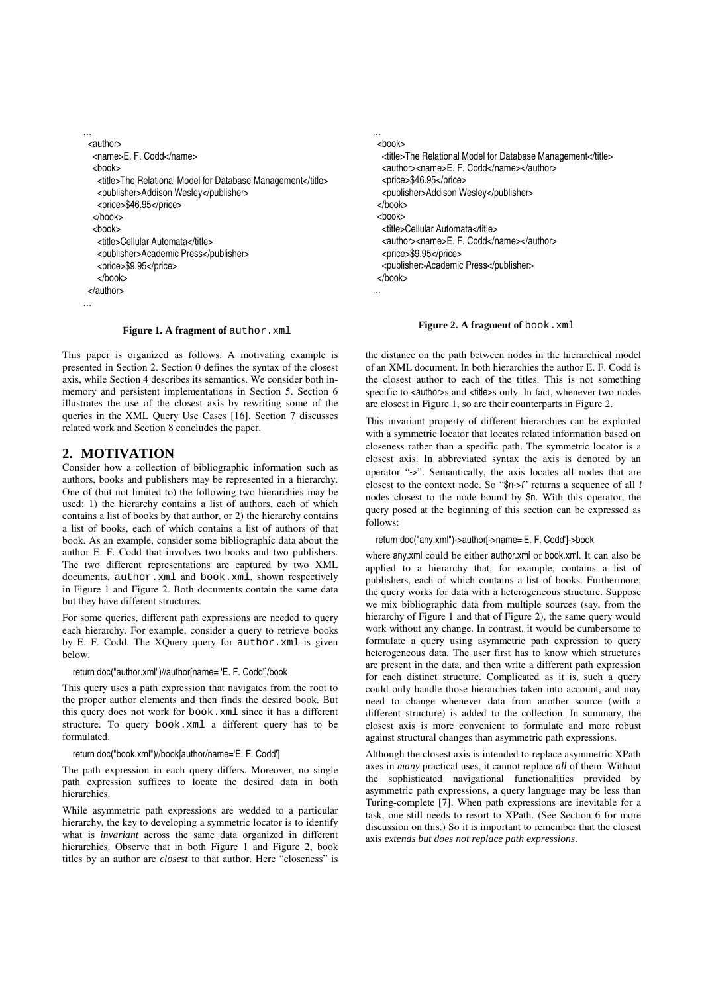```
<author>
 <name>E. F. Codd</name>
  <hook>
  <title>The Relational Model for Database Management</title>
   <publisher>Addison Wesley</publisher>
   <price>$46.95</price>
  </book>
  <hook>
   <title>Cellular Automata</title>
   <publisher>Academic Press</publisher>
   <price>$9.95</price>
   </book>
 </author>
…
```
**Figure 1. A fragment of** author.xml

This paper is organized as follows. A motivating example is presented in Section 2. Section 0 defines the syntax of the closest axis, while Section 4 describes its semantics. We consider both inmemory and persistent implementations in Section 5. Section 6 illustrates the use of the closest axis by rewriting some of the queries in the XML Query Use Cases [16]. Section 7 discusses related work and Section 8 concludes the paper.

# **2. MOTIVATION**

…

Consider how a collection of bibliographic information such as authors, books and publishers may be represented in a hierarchy. One of (but not limited to) the following two hierarchies may be used: 1) the hierarchy contains a list of authors, each of which contains a list of books by that author, or 2) the hierarchy contains a list of books, each of which contains a list of authors of that book. As an example, consider some bibliographic data about the author E. F. Codd that involves two books and two publishers. The two different representations are captured by two XML documents, author.xml and book.xml, shown respectively in Figure 1 and Figure 2. Both documents contain the same data but they have different structures.

For some queries, different path expressions are needed to query each hierarchy. For example, consider a query to retrieve books by E. F. Codd. The XQuery query for author.xml is given below.

#### return doc("author.xml")//author[name= 'E. F. Codd']/book

This query uses a path expression that navigates from the root to the proper author elements and then finds the desired book. But this query does not work for book.xml since it has a different structure. To query book.xml a different query has to be formulated.

#### return doc("book.xml")//book[author/name='E. F. Codd']

The path expression in each query differs. Moreover, no single path expression suffices to locate the desired data in both hierarchies.

While asymmetric path expressions are wedded to a particular hierarchy, the key to developing a symmetric locator is to identify what is *invariant* across the same data organized in different hierarchies. Observe that in both Figure 1 and Figure 2, book titles by an author are *closest* to that author. Here "closeness" is

```
…
<book>
 <title>The Relational Model for Database Management</title>
 <author><name>E. F. Codd</name></author>
 <price>$46.95</price>
 <publisher>Addison Wesley</publisher>
 </book>
 \lambda<title>Cellular Automata</title>
 <author><name>E. F. Codd</name></author>
 <price>$9.95</price>
 <publisher>Academic Press</publisher>
 </book>
…
```
#### **Figure 2. A fragment of** book.xml

the distance on the path between nodes in the hierarchical model of an XML document. In both hierarchies the author E. F. Codd is the closest author to each of the titles. This is not something specific to <author>s and <title>s only. In fact, whenever two nodes are closest in Figure 1, so are their counterparts in Figure 2.

This invariant property of different hierarchies can be exploited with a symmetric locator that locates related information based on closeness rather than a specific path. The symmetric locator is a closest axis. In abbreviated syntax the axis is denoted by an operator "->". Semantically, the axis locates all nodes that are closest to the context node. So "\$n->*t*" returns a sequence of all *t* nodes closest to the node bound by \$n. With this operator, the query posed at the beginning of this section can be expressed as follows:

return doc("any.xml")->author[->name='E. F. Codd']->book

where any.xml could be either author.xml or book.xml. It can also be applied to a hierarchy that, for example, contains a list of publishers, each of which contains a list of books. Furthermore, the query works for data with a heterogeneous structure. Suppose we mix bibliographic data from multiple sources (say, from the hierarchy of Figure 1 and that of Figure 2), the same query would work without any change. In contrast, it would be cumbersome to formulate a query using asymmetric path expression to query heterogeneous data. The user first has to know which structures are present in the data, and then write a different path expression for each distinct structure. Complicated as it is, such a query could only handle those hierarchies taken into account, and may need to change whenever data from another source (with a different structure) is added to the collection. In summary, the closest axis is more convenient to formulate and more robust against structural changes than asymmetric path expressions.

Although the closest axis is intended to replace asymmetric XPath axes in *many* practical uses, it cannot replace *all* of them. Without the sophisticated navigational functionalities provided by asymmetric path expressions, a query language may be less than Turing-complete [7]. When path expressions are inevitable for a task, one still needs to resort to XPath. (See Section 6 for more discussion on this.) So it is important to remember that the closest axis *extends but does not replace path expressions*.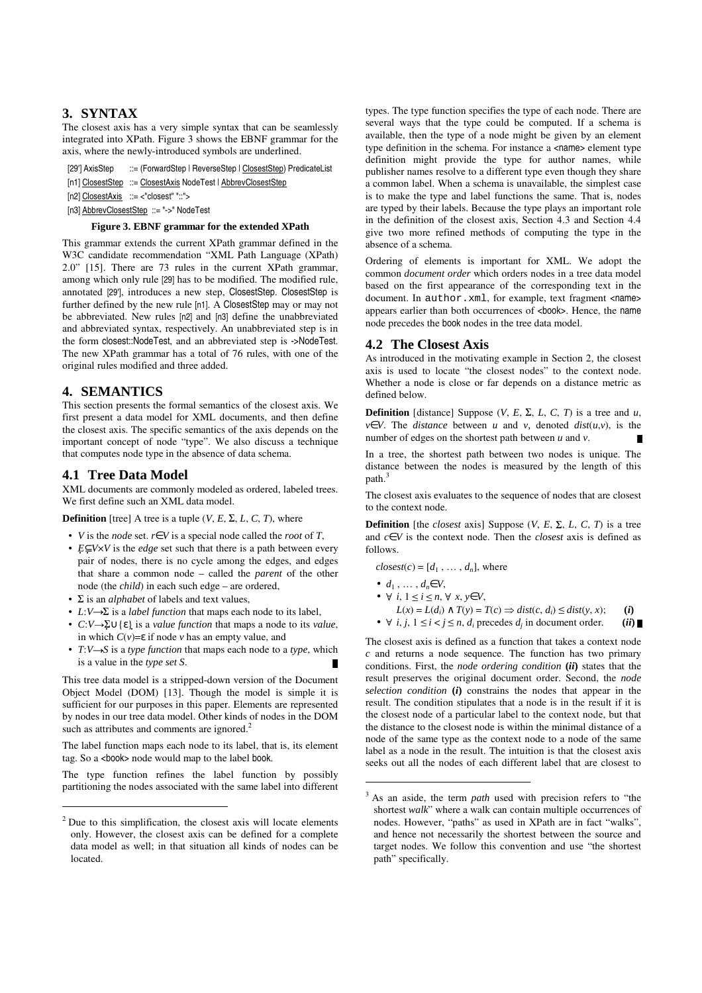# **3. SYNTAX**

The closest axis has a very simple syntax that can be seamlessly integrated into XPath. Figure 3 shows the EBNF grammar for the axis, where the newly-introduced symbols are underlined.

[29'] AxisStep ::= (ForwardStep | ReverseStep | ClosestStep) PredicateList

[n1] ClosestStep ::= ClosestAxis NodeTest | AbbrevClosestStep

[n2] ClosestAxis ::= <"closest" "::">

[n3] AbbrevClosestStep ::= "->" NodeTest

### **Figure 3. EBNF grammar for the extended XPath**

This grammar extends the current XPath grammar defined in the W3C candidate recommendation "XML Path Language (XPath) 2.0" [15]. There are 73 rules in the current XPath grammar, among which only rule [29] has to be modified. The modified rule, annotated [29'], introduces a new step, ClosestStep. ClosestStep is further defined by the new rule [n1]. A ClosestStep may or may not be abbreviated. New rules [n2] and [n3] define the unabbreviated and abbreviated syntax, respectively. An unabbreviated step is in the form closest::NodeTest, and an abbreviated step is ->NodeTest. The new XPath grammar has a total of 76 rules, with one of the original rules modified and three added.

# **4. SEMANTICS**

This section presents the formal semantics of the closest axis. We first present a data model for XML documents, and then define the closest axis. The specific semantics of the axis depends on the important concept of node "type". We also discuss a technique that computes node type in the absence of data schema.

### **4.1 Tree Data Model**

XML documents are commonly modeled as ordered, labeled trees. We first define such an XML data model.

**Definition** [tree] A tree is a tuple  $(V, E, \Sigma, L, C, T)$ , where

- *V* is the *node* set. *r*∈*V* is a special node called the *root* of *T*,
- $E \subseteq V \times V$  is the *edge* set such that there is a path between every pair of nodes, there is no cycle among the edges, and edges that share a common node – called the *parent* of the other node (the *child*) in each such edge – are ordered,
- $\bullet$   $\Sigma$  is an *alphabet* of labels and text values,
- $L: V \rightarrow \Sigma$  is a *label function* that maps each node to its label,
- $C: V \rightarrow \Sigma \cup \{\epsilon\}$  is a *value function* that maps a node to its *value*, in which  $C(v)=\varepsilon$  if node *v* has an empty value, and
- *T*:*V*-*S* is a *type function* that maps each node to a *type*, which is a value in the *type set S*.

This tree data model is a stripped-down version of the Document Object Model (DOM) [13]. Though the model is simple it is sufficient for our purposes in this paper. Elements are represented by nodes in our tree data model. Other kinds of nodes in the DOM such as attributes and comments are ignored.<sup>2</sup>

The label function maps each node to its label, that is, its element tag. So a <br/>book> node would map to the label book.

The type function refines the label function by possibly partitioning the nodes associated with the same label into different types. The type function specifies the type of each node. There are several ways that the type could be computed. If a schema is available, then the type of a node might be given by an element type definition in the schema. For instance a <name> element type definition might provide the type for author names, while publisher names resolve to a different type even though they share a common label. When a schema is unavailable, the simplest case is to make the type and label functions the same. That is, nodes are typed by their labels. Because the type plays an important role in the definition of the closest axis, Section 4.3 and Section 4.4 give two more refined methods of computing the type in the absence of a schema.

Ordering of elements is important for XML. We adopt the common *document order* which orders nodes in a tree data model based on the first appearance of the corresponding text in the document. In author.xml, for example, text fragment <name> appears earlier than both occurrences of <br/>book>. Hence, the name node precedes the book nodes in the tree data model.

### **4.2 The Closest Axis**

As introduced in the motivating example in Section 2, the closest axis is used to locate "the closest nodes" to the context node. Whether a node is close or far depends on a distance metric as defined below.

**Definition** [distance] Suppose  $(V, E, \Sigma, L, C, T)$  is a tree and  $u$ ,  $v \in V$ . The *distance* between *u* and *v*, denoted *dist*(*u,v*), is the number of edges on the shortest path between *u* and *v*.

In a tree, the shortest path between two nodes is unique. The distance between the nodes is measured by the length of this path. 3

The closest axis evaluates to the sequence of nodes that are closest to the context node.

**Definition** [the *closest* axis] Suppose  $(V, E, \Sigma, L, C, T)$  is a tree and *c*∈*V* is the context node. Then the *closest* axis is defined as follows.

 $\textit{closest}(c) = [d_1, \ldots, d_n], \text{ where }$ 

$$
\bullet \ d_1 \ , \ \ldots \ , \ d_n \in V,
$$

- $\bullet$   $\forall$  *i*, 1 ≤ *i* ≤ *n*,  $\forall$  *x*, *y*∈ *V*,  $L(x) = L(d_i) \wedge T(y) = T(c) \Rightarrow dist(c, d_i) \leq dist(y, x);$  (*i*)
- $\forall i, j, 1 \le i < j \le n, d_i$  precedes  $d_j$  in document order. (*ii*)

The closest axis is defined as a function that takes a context node *c* and returns a node sequence. The function has two primary conditions. First, the *node ordering condition* **(***ii***)** states that the result preserves the original document order. Second, the *node selection condition* **(***i***)** constrains the nodes that appear in the result. The condition stipulates that a node is in the result if it is the closest node of a particular label to the context node, but that the distance to the closest node is within the minimal distance of a node of the same type as the context node to a node of the same label as a node in the result. The intuition is that the closest axis seeks out all the nodes of each different label that are closest to

 $2$  Due to this simplification, the closest axis will locate elements only. However, the closest axis can be defined for a complete data model as well; in that situation all kinds of nodes can be located.

<sup>3</sup> As an aside, the term *path* used with precision refers to "the shortest *walk*" where a walk can contain multiple occurrences of nodes. However, "paths" as used in XPath are in fact "walks", and hence not necessarily the shortest between the source and target nodes. We follow this convention and use "the shortest path" specifically.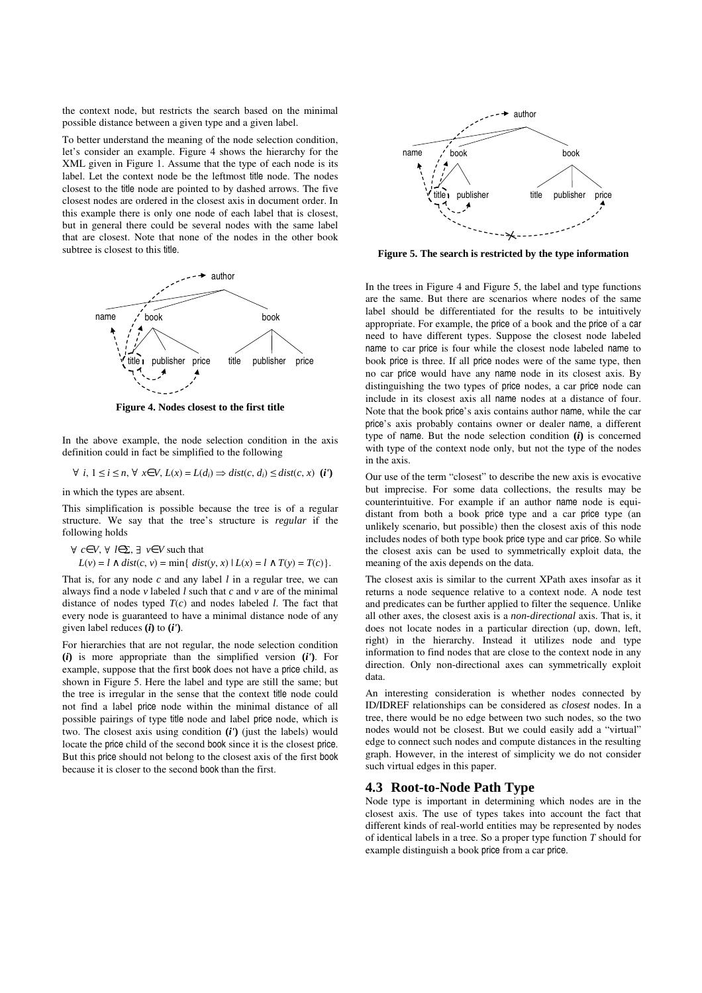the context node, but restricts the search based on the minimal possible distance between a given type and a given label.

To better understand the meaning of the node selection condition, let's consider an example. Figure 4 shows the hierarchy for the XML given in Figure 1. Assume that the type of each node is its label. Let the context node be the leftmost title node. The nodes closest to the title node are pointed to by dashed arrows. The five closest nodes are ordered in the closest axis in document order. In this example there is only one node of each label that is closest, but in general there could be several nodes with the same label that are closest. Note that none of the nodes in the other book subtree is closest to this title.



**Figure 4. Nodes closest to the first title**

In the above example, the node selection condition in the axis definition could in fact be simplified to the following

$$
\forall i, 1 \le i \le n, \forall x \in V, L(x) = L(d_i) \implies dist(c, d_i) \le dist(c, x) \ (i')
$$

in which the types are absent.

This simplification is possible because the tree is of a regular structure. We say that the tree's structure is *regular* if the following holds

$$
\forall c \in V, \forall l \in \Sigma, \exists v \in V \text{ such that}
$$

 $L(v) = l \wedge dist(c, v) = \min\{ dist(v, x) | L(x) = l \wedge T(v) = T(c) \}.$ 

That is, for any node *c* and any label *l* in a regular tree, we can always find a node *v* labeled *l* such that *c* and *v* are of the minimal distance of nodes typed  $T(c)$  and nodes labeled *l*. The fact that every node is guaranteed to have a minimal distance node of any given label reduces  $(i)$  to  $(i')$ .

For hierarchies that are not regular, the node selection condition **(***i***)** is more appropriate than the simplified version **(***i'***)**. For example, suppose that the first book does not have a price child, as shown in Figure 5. Here the label and type are still the same; but the tree is irregular in the sense that the context title node could not find a label price node within the minimal distance of all possible pairings of type title node and label price node, which is two. The closest axis using condition  $(i')$  (just the labels) would locate the price child of the second book since it is the closest price. But this price should not belong to the closest axis of the first book because it is closer to the second book than the first.



**Figure 5. The search is restricted by the type information**

In the trees in Figure 4 and Figure 5, the label and type functions are the same. But there are scenarios where nodes of the same label should be differentiated for the results to be intuitively appropriate. For example, the price of a book and the price of a car need to have different types. Suppose the closest node labeled name to car price is four while the closest node labeled name to book price is three. If all price nodes were of the same type, then no car price would have any name node in its closest axis. By distinguishing the two types of price nodes, a car price node can include in its closest axis all name nodes at a distance of four. Note that the book price's axis contains author name, while the car price's axis probably contains owner or dealer name, a different type of name. But the node selection condition **(***i***)** is concerned with type of the context node only, but not the type of the nodes in the axis.

Our use of the term "closest" to describe the new axis is evocative but imprecise. For some data collections, the results may be counterintuitive. For example if an author name node is equidistant from both a book price type and a car price type (an unlikely scenario, but possible) then the closest axis of this node includes nodes of both type book price type and car price. So while the closest axis can be used to symmetrically exploit data, the meaning of the axis depends on the data.

The closest axis is similar to the current XPath axes insofar as it returns a node sequence relative to a context node. A node test and predicates can be further applied to filter the sequence. Unlike all other axes, the closest axis is a *non-directional* axis. That is, it does not locate nodes in a particular direction (up, down, left, right) in the hierarchy. Instead it utilizes node and type information to find nodes that are close to the context node in any direction. Only non-directional axes can symmetrically exploit data.

An interesting consideration is whether nodes connected by ID/IDREF relationships can be considered as *closest* nodes. In a tree, there would be no edge between two such nodes, so the two nodes would not be closest. But we could easily add a "virtual" edge to connect such nodes and compute distances in the resulting graph. However, in the interest of simplicity we do not consider such virtual edges in this paper.

### **4.3 Root-to-Node Path Type**

Node type is important in determining which nodes are in the closest axis. The use of types takes into account the fact that different kinds of real-world entities may be represented by nodes of identical labels in a tree. So a proper type function *T* should for example distinguish a book price from a car price.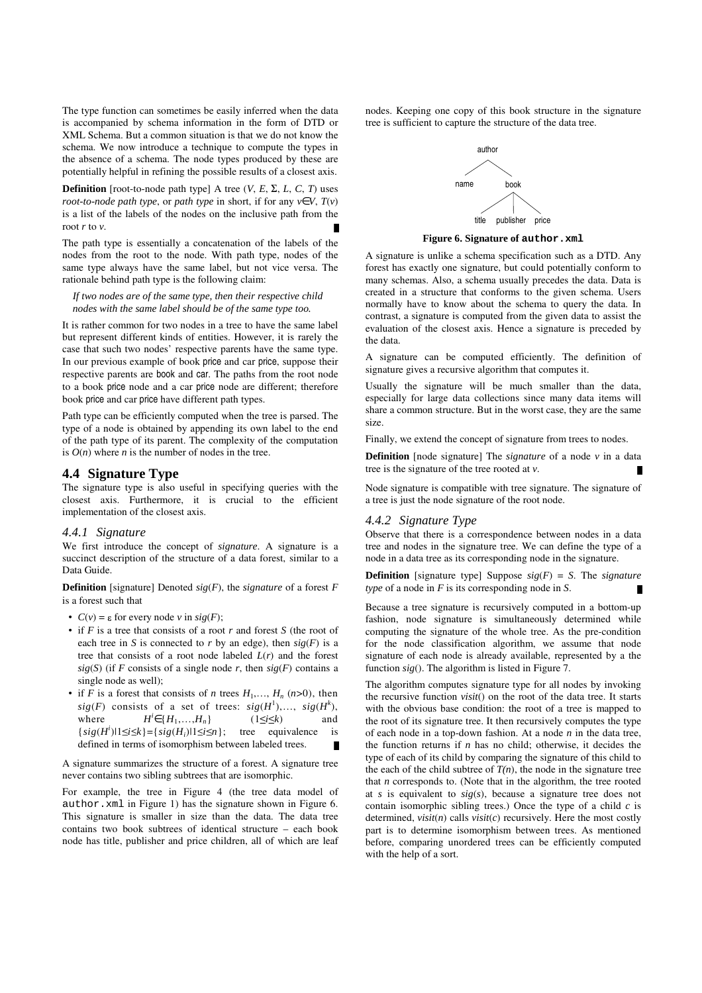The type function can sometimes be easily inferred when the data is accompanied by schema information in the form of DTD or XML Schema. But a common situation is that we do not know the schema. We now introduce a technique to compute the types in the absence of a schema. The node types produced by these are potentially helpful in refining the possible results of a closest axis.

**Definition** [root-to-node path type] A tree  $(V, E, \Sigma, L, C, T)$  uses *root-to-node path type, or path type* in short, if for any  $v \in V$ ,  $T(v)$ is a list of the labels of the nodes on the inclusive path from the root *r* to *v*.

The path type is essentially a concatenation of the labels of the nodes from the root to the node. With path type, nodes of the same type always have the same label, but not vice versa. The rationale behind path type is the following claim:

*If two nodes are of the same type, then their respective child nodes with the same label should be of the same type too.*

It is rather common for two nodes in a tree to have the same label but represent different kinds of entities. However, it is rarely the case that such two nodes' respective parents have the same type. In our previous example of book price and car price, suppose their respective parents are book and car. The paths from the root node to a book price node and a car price node are different; therefore book price and car price have different path types.

Path type can be efficiently computed when the tree is parsed. The type of a node is obtained by appending its own label to the end of the path type of its parent. The complexity of the computation is  $O(n)$  where *n* is the number of nodes in the tree.

### **4.4 Signature Type**

The signature type is also useful in specifying queries with the closest axis. Furthermore, it is crucial to the efficient implementation of the closest axis.

### *4.4.1 Signature*

We first introduce the concept of *signature*. A signature is a succinct description of the structure of a data forest, similar to a Data Guide.

**Definition** [signature] Denoted  $sig(F)$ , the *signature* of a forest  $F$ is a forest such that

- $C(v) = \varepsilon$  for every node *v* in *sig*(*F*);
- if *F* is a tree that consists of a root *r* and forest *S* (the root of each tree in *S* is connected to *r* by an edge), then  $sig(F)$  is a tree that consists of a root node labeled *L*(*r*) and the forest  $sig(S)$  (if *F* consists of a single node *r*, then  $sig(F)$  contains a single node as well);
- if *F* is a forest that consists of *n* trees  $H_1, \ldots, H_n$  (*n*>0), then  $sig(F)$  consists of a set of trees:  $sig(H^1), \ldots, sig(H^k)$ , where *H*<sup>*i*</sup>∈{*H*<sub>1</sub>,…,*H<sub>n</sub>*} (1≤*i*≤*k*) and { $sig(H<sup>i</sup>)|1 \le i \le k$ } = { $sig(H<sub>i</sub>)|1 \le i \le n$ }; tree equivalence is defined in terms of isomorphism between labeled trees.

A signature summarizes the structure of a forest. A signature tree never contains two sibling subtrees that are isomorphic.

For example, the tree in Figure 4 (the tree data model of author.xml in Figure 1) has the signature shown in Figure 6. This signature is smaller in size than the data. The data tree contains two book subtrees of identical structure – each book node has title, publisher and price children, all of which are leaf

nodes. Keeping one copy of this book structure in the signature tree is sufficient to capture the structure of the data tree.



**Figure 6. Signature of author.xml**

A signature is unlike a schema specification such as a DTD. Any forest has exactly one signature, but could potentially conform to many schemas. Also, a schema usually precedes the data. Data is created in a structure that conforms to the given schema. Users normally have to know about the schema to query the data. In contrast, a signature is computed from the given data to assist the evaluation of the closest axis. Hence a signature is preceded by the data.

A signature can be computed efficiently. The definition of signature gives a recursive algorithm that computes it.

Usually the signature will be much smaller than the data, especially for large data collections since many data items will share a common structure. But in the worst case, they are the same size.

Finally, we extend the concept of signature from trees to nodes.

**Definition** [node signature] The *signature* of a node *v* in a data tree is the signature of the tree rooted at *v*.

Node signature is compatible with tree signature. The signature of a tree is just the node signature of the root node.

### *4.4.2 Signature Type*

Observe that there is a correspondence between nodes in a data tree and nodes in the signature tree. We can define the type of a node in a data tree as its corresponding node in the signature.

**Definition** [signature type] Suppose  $sig(F) = S$ . The *signature type* of a node in *F* is its corresponding node in *S*.

Because a tree signature is recursively computed in a bottom-up fashion, node signature is simultaneously determined while computing the signature of the whole tree. As the pre-condition for the node classification algorithm, we assume that node signature of each node is already available, represented by a the function *sig*(). The algorithm is listed in Figure 7.

The algorithm computes signature type for all nodes by invoking the recursive function *visit*() on the root of the data tree. It starts with the obvious base condition: the root of a tree is mapped to the root of its signature tree. It then recursively computes the type of each node in a top-down fashion. At a node *n* in the data tree, the function returns if *n* has no child; otherwise, it decides the type of each of its child by comparing the signature of this child to the each of the child subtree of  $T(n)$ , the node in the signature tree that *n* corresponds to. (Note that in the algorithm, the tree rooted at *s* is equivalent to *sig*(*s*), because a signature tree does not contain isomorphic sibling trees.) Once the type of a child *c* is determined,  $visit(n)$  calls  $visit(c)$  recursively. Here the most costly part is to determine isomorphism between trees. As mentioned before, comparing unordered trees can be efficiently computed with the help of a sort.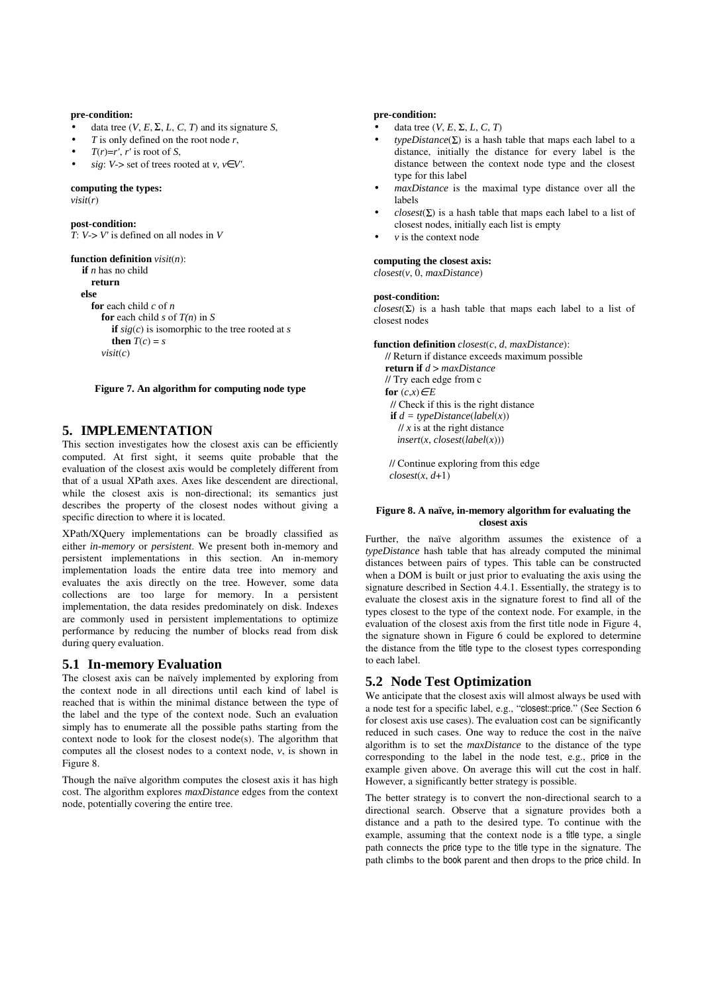#### **pre-condition:**

- data tree  $(V, E, \Sigma, L, C, T)$  and its signature *S*,
- *T* is only defined on the root node *r*,
- $T(r)=r'$ , *r'* is root of *S*,
- $sig: V \rightarrow set$  of trees rooted at *v*,  $v \in V'$ .

# **computing the types:**

*visit*(*r*)

### **post-condition:**

*T*: *V*-> *V'* is defined on all nodes in *V*

### **function definition** *visit*(*n*):

```
if n has no child
  return
else
  for each child c of n
     for each child s of T(n) in S
       if sig(c) is isomorphic to the tree rooted at sthen T(c) = svisit(c)
```
**Figure 7. An algorithm for computing node type**

# **5. IMPLEMENTATION**

This section investigates how the closest axis can be efficiently computed. At first sight, it seems quite probable that the evaluation of the closest axis would be completely different from that of a usual XPath axes. Axes like descendent are directional, while the closest axis is non-directional; its semantics just describes the property of the closest nodes without giving a specific direction to where it is located.

XPath/XQuery implementations can be broadly classified as either *in-memory* or *persistent*. We present both in-memory and persistent implementations in this section. An in-memory implementation loads the entire data tree into memory and evaluates the axis directly on the tree. However, some data collections are too large for memory. In a persistent implementation, the data resides predominately on disk. Indexes are commonly used in persistent implementations to optimize performance by reducing the number of blocks read from disk during query evaluation.

## **5.1 In-memory Evaluation**

The closest axis can be naïvely implemented by exploring from the context node in all directions until each kind of label is reached that is within the minimal distance between the type of the label and the type of the context node. Such an evaluation simply has to enumerate all the possible paths starting from the context node to look for the closest node(s). The algorithm that computes all the closest nodes to a context node, *v*, is shown in Figure 8.

Though the naïve algorithm computes the closest axis it has high cost. The algorithm explores *maxDistance* edges from the context node, potentially covering the entire tree.

### **pre-condition:**

- data tree  $(V, E, \Sigma, L, C, T)$
- $typeDistance(\Sigma)$  is a hash table that maps each label to a distance, initially the distance for every label is the distance between the context node type and the closest type for this label
- *maxDistance* is the maximal type distance over all the labels
- $\text{closed}(\Sigma)$  is a hash table that maps each label to a list of closest nodes, initially each list is empty
- $\nu$  is the context node

### **computing the closest axis:**

*closest*(*v*, 0, *maxDistance*)

#### **post-condition:**

 $\text{closes}(\Sigma)$  is a hash table that maps each label to a list of closest nodes

**function definition** *closest*(*c*, *d*, *maxDistance*):

// Return if distance exceeds maximum possible **return if** *d* > *maxDistance* // Try each edge from c **for**  $(c, x) \in E$ // Check if this is the right distance **if**  $d = typeDistance(label(x))$  $// x is at the right distance$  $insert(x, closest(label(x)))$ 

// Continue exploring from this edge  $\textit{closest}(x, d+1)$ 

### **Figure 8. A naïve, in-memory algorithm for evaluating the closest axis**

Further, the naïve algorithm assumes the existence of a *typeDistance* hash table that has already computed the minimal distances between pairs of types. This table can be constructed when a DOM is built or just prior to evaluating the axis using the signature described in Section 4.4.1. Essentially, the strategy is to evaluate the closest axis in the signature forest to find all of the types closest to the type of the context node. For example, in the evaluation of the closest axis from the first title node in Figure 4, the signature shown in Figure 6 could be explored to determine the distance from the title type to the closest types corresponding to each label.

### **5.2 Node Test Optimization**

We anticipate that the closest axis will almost always be used with a node test for a specific label, e.g., "closest::price." (See Section 6 for closest axis use cases). The evaluation cost can be significantly reduced in such cases. One way to reduce the cost in the naïve algorithm is to set the *maxDistance* to the distance of the type corresponding to the label in the node test, e.g., price in the example given above. On average this will cut the cost in half. However, a significantly better strategy is possible.

The better strategy is to convert the non-directional search to a directional search. Observe that a signature provides both a distance and a path to the desired type. To continue with the example, assuming that the context node is a title type, a single path connects the price type to the title type in the signature. The path climbs to the book parent and then drops to the price child. In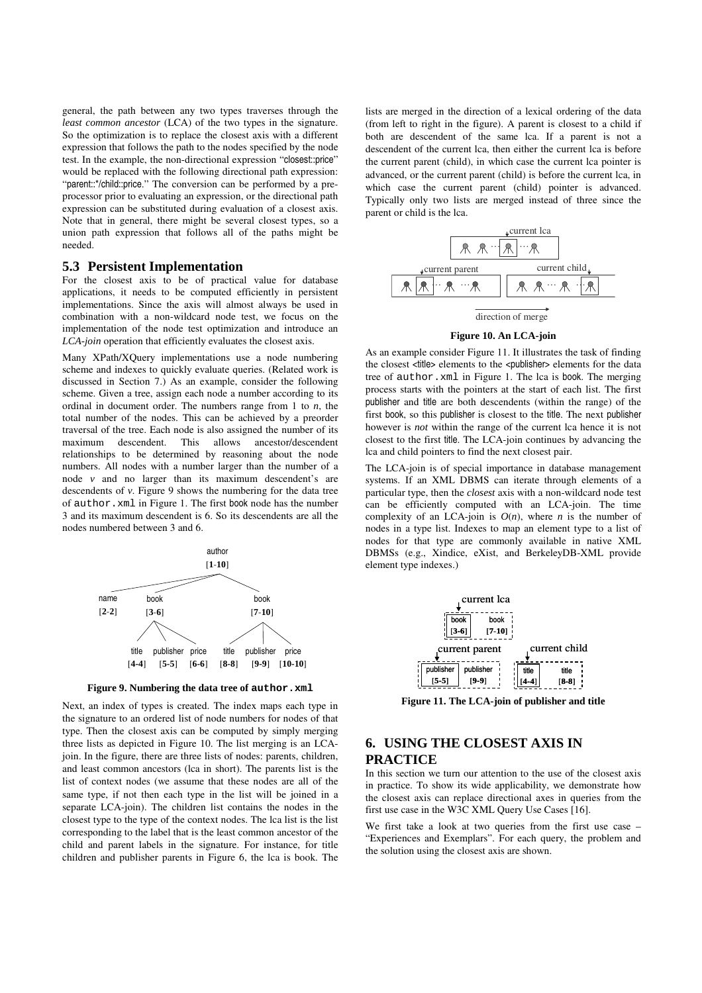general, the path between any two types traverses through the *least common ancestor* (LCA) of the two types in the signature. So the optimization is to replace the closest axis with a different expression that follows the path to the nodes specified by the node test. In the example, the non-directional expression "closest::price" would be replaced with the following directional path expression: "parent::\*/child::price." The conversion can be performed by a preprocessor prior to evaluating an expression, or the directional path expression can be substituted during evaluation of a closest axis. Note that in general, there might be several closest types, so a union path expression that follows all of the paths might be needed.

## **5.3 Persistent Implementation**

For the closest axis to be of practical value for database applications, it needs to be computed efficiently in persistent implementations. Since the axis will almost always be used in combination with a non-wildcard node test, we focus on the implementation of the node test optimization and introduce an *LCA-join* operation that efficiently evaluates the closest axis.

Many XPath/XQuery implementations use a node numbering scheme and indexes to quickly evaluate queries. (Related work is discussed in Section 7.) As an example, consider the following scheme. Given a tree, assign each node a number according to its ordinal in document order. The numbers range from 1 to *n*, the total number of the nodes. This can be achieved by a preorder traversal of the tree. Each node is also assigned the number of its maximum descendent. This allows ancestor/descendent relationships to be determined by reasoning about the node numbers. All nodes with a number larger than the number of a node *v* and no larger than its maximum descendent's are descendents of *v*. Figure 9 shows the numbering for the data tree of author.xml in Figure 1. The first book node has the number 3 and its maximum descendent is 6. So its descendents are all the nodes numbered between 3 and 6.



**Figure 9. Numbering the data tree of author.xml**

Next, an index of types is created. The index maps each type in the signature to an ordered list of node numbers for nodes of that type. Then the closest axis can be computed by simply merging three lists as depicted in Figure 10. The list merging is an LCAjoin. In the figure, there are three lists of nodes: parents, children, and least common ancestors (lca in short). The parents list is the list of context nodes (we assume that these nodes are all of the same type, if not then each type in the list will be joined in a separate LCA-join). The children list contains the nodes in the closest type to the type of the context nodes. The lca list is the list corresponding to the label that is the least common ancestor of the child and parent labels in the signature. For instance, for title children and publisher parents in Figure 6, the lca is book. The

lists are merged in the direction of a lexical ordering of the data (from left to right in the figure). A parent is closest to a child if both are descendent of the same lca. If a parent is not a descendent of the current lca, then either the current lca is before the current parent (child), in which case the current lca pointer is advanced, or the current parent (child) is before the current lca, in which case the current parent (child) pointer is advanced. Typically only two lists are merged instead of three since the parent or child is the lca.





#### **Figure 10. An LCA-join**

As an example consider Figure 11. It illustrates the task of finding the closest <title> elements to the <publisher> elements for the data tree of author.xml in Figure 1. The lca is book. The merging process starts with the pointers at the start of each list. The first publisher and title are both descendents (within the range) of the first book, so this publisher is closest to the title. The next publisher however is *not* within the range of the current lca hence it is not closest to the first title. The LCA-join continues by advancing the lca and child pointers to find the next closest pair.

The LCA-join is of special importance in database management systems. If an XML DBMS can iterate through elements of a particular type, then the *closest* axis with a non-wildcard node test can be efficiently computed with an LCA-join. The time complexity of an LCA-join is  $O(n)$ , where *n* is the number of nodes in a type list. Indexes to map an element type to a list of nodes for that type are commonly available in native XML DBMSs (e.g., Xindice, eXist, and BerkeleyDB-XML provide element type indexes.)



**Figure 11. The LCA-join of publisher and title**

# **6. USING THE CLOSEST AXIS IN PRACTICE**

In this section we turn our attention to the use of the closest axis in practice. To show its wide applicability, we demonstrate how the closest axis can replace directional axes in queries from the first use case in the W3C XML Query Use Cases [16].

We first take a look at two queries from the first use case – "Experiences and Exemplars". For each query, the problem and the solution using the closest axis are shown.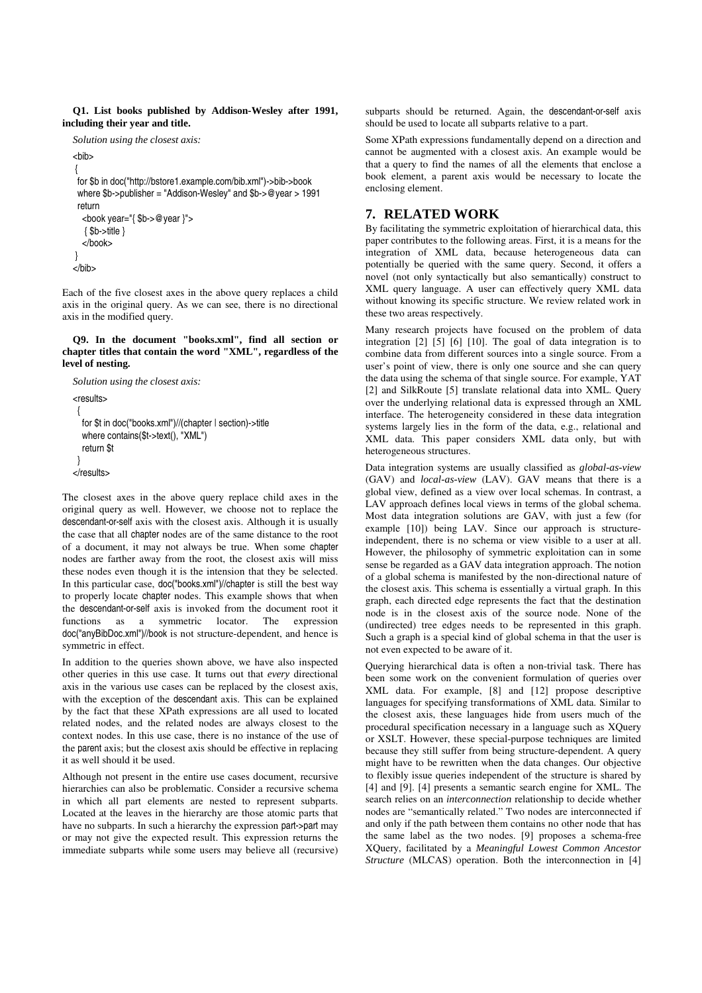```
Q1. List books published by Addison-Wesley after 1991,
including their year and title.
```

```
Solution using the closest axis:
<bib>
{
 for $b in doc("http://bstore1.example.com/bib.xml")->bib->book
 where $b->publisher = "Addison-Wesley" and $b->@year > 1991
 return
  <book year="{ $b->@year }">
  { $b->title }
  z/hnook\sim}
</bib>
```
Each of the five closest axes in the above query replaces a child axis in the original query. As we can see, there is no directional axis in the modified query.

**Q9. In the document "books.xml", find all section or chapter titles that contain the word "XML", regardless of the level of nesting.**

```
Solution using the closest axis:
<results>
 {
  for $t in doc("books.xml")//(chapter | section)->title
  where contains($t->text(), "XML")
  return $t
 }
</results>
```
The closest axes in the above query replace child axes in the original query as well. However, we choose not to replace the descendant-or-self axis with the closest axis. Although it is usually the case that all chapter nodes are of the same distance to the root of a document, it may not always be true. When some chapter nodes are farther away from the root, the closest axis will miss these nodes even though it is the intension that they be selected. In this particular case, doc("books.xml")//chapter is still the best way to properly locate chapter nodes. This example shows that when the descendant-or-self axis is invoked from the document root it functions as a symmetric locator. The expression doc("anyBibDoc.xml")//book is not structure-dependent, and hence is symmetric in effect.

In addition to the queries shown above, we have also inspected other queries in this use case. It turns out that *every* directional axis in the various use cases can be replaced by the closest axis, with the exception of the descendant axis. This can be explained by the fact that these XPath expressions are all used to located related nodes, and the related nodes are always closest to the context nodes. In this use case, there is no instance of the use of the parent axis; but the closest axis should be effective in replacing it as well should it be used.

Although not present in the entire use cases document, recursive hierarchies can also be problematic. Consider a recursive schema in which all part elements are nested to represent subparts. Located at the leaves in the hierarchy are those atomic parts that have no subparts. In such a hierarchy the expression part->part may or may not give the expected result. This expression returns the immediate subparts while some users may believe all (recursive) subparts should be returned. Again, the descendant-or-self axis should be used to locate all subparts relative to a part.

Some XPath expressions fundamentally depend on a direction and cannot be augmented with a closest axis. An example would be that a query to find the names of all the elements that enclose a book element, a parent axis would be necessary to locate the enclosing element.

# **7. RELATED WORK**

By facilitating the symmetric exploitation of hierarchical data, this paper contributes to the following areas. First, it is a means for the integration of XML data, because heterogeneous data can potentially be queried with the same query. Second, it offers a novel (not only syntactically but also semantically) construct to XML query language. A user can effectively query XML data without knowing its specific structure. We review related work in these two areas respectively.

Many research projects have focused on the problem of data integration [2] [5] [6] [10]. The goal of data integration is to combine data from different sources into a single source. From a user's point of view, there is only one source and she can query the data using the schema of that single source. For example, YAT [2] and SilkRoute [5] translate relational data into XML. Query over the underlying relational data is expressed through an XML interface. The heterogeneity considered in these data integration systems largely lies in the form of the data, e.g., relational and XML data. This paper considers XML data only, but with heterogeneous structures.

Data integration systems are usually classified as *global-as-view* (GAV) and *local-as-view* (LAV). GAV means that there is a global view, defined as a view over local schemas. In contrast, a LAV approach defines local views in terms of the global schema. Most data integration solutions are GAV, with just a few (for example [10]) being LAV. Since our approach is structureindependent, there is no schema or view visible to a user at all. However, the philosophy of symmetric exploitation can in some sense be regarded as a GAV data integration approach. The notion of a global schema is manifested by the non-directional nature of the closest axis. This schema is essentially a virtual graph. In this graph, each directed edge represents the fact that the destination node is in the closest axis of the source node. None of the (undirected) tree edges needs to be represented in this graph. Such a graph is a special kind of global schema in that the user is not even expected to be aware of it.

Querying hierarchical data is often a non-trivial task. There has been some work on the convenient formulation of queries over XML data. For example, [8] and [12] propose descriptive languages for specifying transformations of XML data. Similar to the closest axis, these languages hide from users much of the procedural specification necessary in a language such as XQuery or XSLT. However, these special-purpose techniques are limited because they still suffer from being structure-dependent. A query might have to be rewritten when the data changes. Our objective to flexibly issue queries independent of the structure is shared by [4] and [9]. [4] presents a semantic search engine for XML. The search relies on an *interconnection* relationship to decide whether nodes are "semantically related." Two nodes are interconnected if and only if the path between them contains no other node that has the same label as the two nodes. [9] proposes a schema-free XQuery, facilitated by a *Meaningful Lowest Common Ancestor Structure* (MLCAS) operation. Both the interconnection in [4]